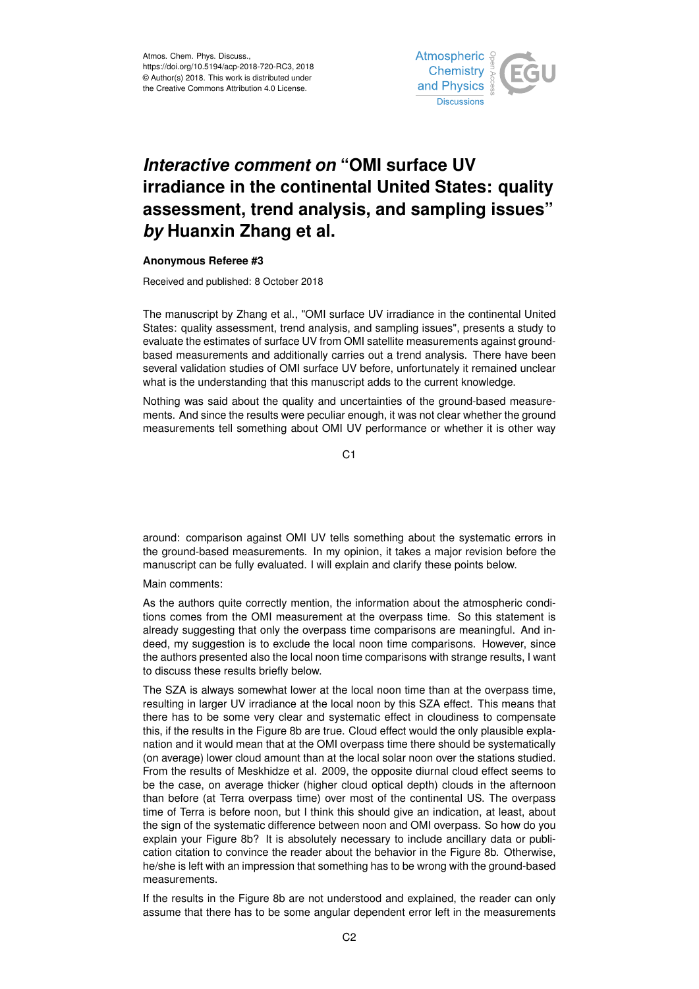

## *Interactive comment on* **"OMI surface UV irradiance in the continental United States: quality assessment, trend analysis, and sampling issues"** *by* **Huanxin Zhang et al.**

## **Anonymous Referee #3**

Received and published: 8 October 2018

The manuscript by Zhang et al., "OMI surface UV irradiance in the continental United States: quality assessment, trend analysis, and sampling issues", presents a study to evaluate the estimates of surface UV from OMI satellite measurements against groundbased measurements and additionally carries out a trend analysis. There have been several validation studies of OMI surface UV before, unfortunately it remained unclear what is the understanding that this manuscript adds to the current knowledge.

Nothing was said about the quality and uncertainties of the ground-based measurements. And since the results were peculiar enough, it was not clear whether the ground measurements tell something about OMI UV performance or whether it is other way

C1

around: comparison against OMI UV tells something about the systematic errors in the ground-based measurements. In my opinion, it takes a major revision before the manuscript can be fully evaluated. I will explain and clarify these points below.

Main comments:

As the authors quite correctly mention, the information about the atmospheric conditions comes from the OMI measurement at the overpass time. So this statement is already suggesting that only the overpass time comparisons are meaningful. And indeed, my suggestion is to exclude the local noon time comparisons. However, since the authors presented also the local noon time comparisons with strange results, I want to discuss these results briefly below.

The SZA is always somewhat lower at the local noon time than at the overpass time, resulting in larger UV irradiance at the local noon by this SZA effect. This means that there has to be some very clear and systematic effect in cloudiness to compensate this, if the results in the Figure 8b are true. Cloud effect would the only plausible explanation and it would mean that at the OMI overpass time there should be systematically (on average) lower cloud amount than at the local solar noon over the stations studied. From the results of Meskhidze et al. 2009, the opposite diurnal cloud effect seems to be the case, on average thicker (higher cloud optical depth) clouds in the afternoon than before (at Terra overpass time) over most of the continental US. The overpass time of Terra is before noon, but I think this should give an indication, at least, about the sign of the systematic difference between noon and OMI overpass. So how do you explain your Figure 8b? It is absolutely necessary to include ancillary data or publication citation to convince the reader about the behavior in the Figure 8b. Otherwise, he/she is left with an impression that something has to be wrong with the ground-based measurements.

If the results in the Figure 8b are not understood and explained, the reader can only assume that there has to be some angular dependent error left in the measurements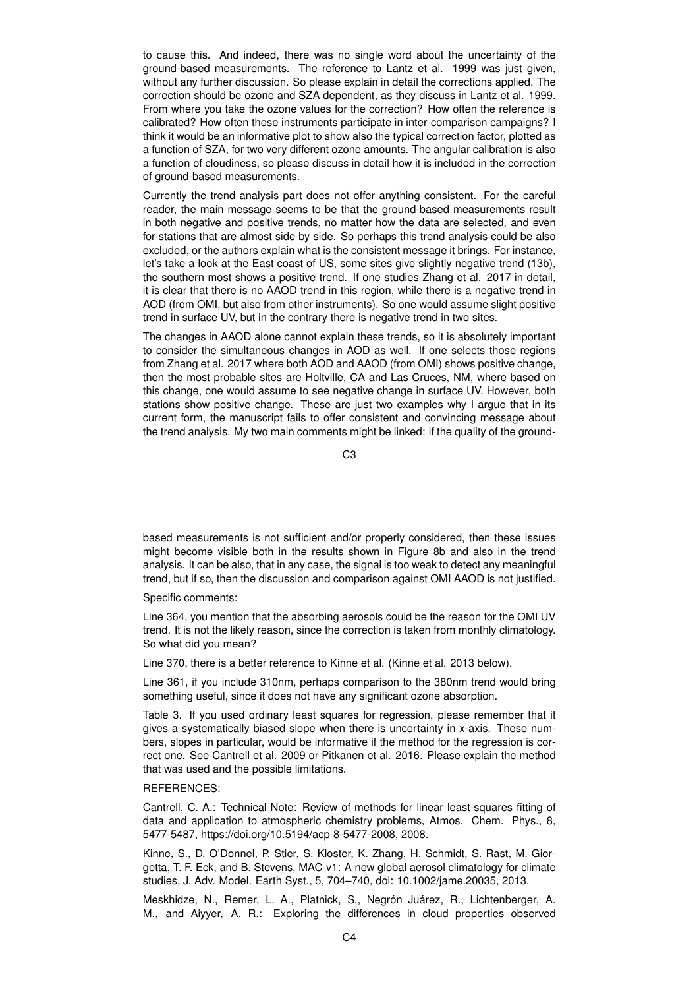to cause this. And indeed, there was no single word about the uncertainty of the ground-based measurements. The reference to Lantz et al. 1999 was just given, without any further discussion. So please explain in detail the corrections applied. The correction should be ozone and SZA dependent, as they discuss in Lantz et al. 1999. From where you take the ozone values for the correction? How often the reference is calibrated? How often these instruments participate in inter-comparison campaigns? I think it would be an informative plot to show also the typical correction factor, plotted as a function of SZA, for two very different ozone amounts. The angular calibration is also a function of cloudiness, so please discuss in detail how it is included in the correction of ground-based measurements.

Currently the trend analysis part does not offer anything consistent. For the careful reader, the main message seems to be that the ground-based measurements result in both negative and positive trends, no matter how the data are selected, and even for stations that are almost side by side. So perhaps this trend analysis could be also excluded, or the authors explain what is the consistent message it brings. For instance, let's take a look at the East coast of US, some sites give slightly negative trend (13b), the southern most shows a positive trend. If one studies Zhang et al. 2017 in detail, it is clear that there is no AAOD trend in this region, while there is a negative trend in AOD (from OMI, but also from other instruments). So one would assume slight positive trend in surface UV, but in the contrary there is negative trend in two sites.

The changes in AAOD alone cannot explain these trends, so it is absolutely important to consider the simultaneous changes in AOD as well. If one selects those regions from Zhang et al. 2017 where both AOD and AAOD (from OMI) shows positive change, then the most probable sites are Holtville, CA and Las Cruces, NM, where based on this change, one would assume to see negative change in surface UV. However, both stations show positive change. These are just two examples why I argue that in its current form, the manuscript fails to offer consistent and convincing message about the trend analysis. My two main comments might be linked: if the quality of the ground-

C3

based measurements is not sufficient and/or properly considered, then these issues might become visible both in the results shown in Figure 8b and also in the trend analysis. It can be also, that in any case, the signal is too weak to detect any meaningful trend, but if so, then the discussion and comparison against OMI AAOD is not justified.

Specific comments:

Line 364, you mention that the absorbing aerosols could be the reason for the OMI UV trend. It is not the likely reason, since the correction is taken from monthly climatology. So what did you mean?

Line 370, there is a better reference to Kinne et al. (Kinne et al. 2013 below).

Line 361, if you include 310nm, perhaps comparison to the 380nm trend would bring something useful, since it does not have any significant ozone absorption.

Table 3. If you used ordinary least squares for regression, please remember that it gives a systematically biased slope when there is uncertainty in x-axis. These numbers, slopes in particular, would be informative if the method for the regression is correct one. See Cantrell et al. 2009 or Pitkanen et al. 2016. Please explain the method that was used and the possible limitations.

## REFERENCES:

Cantrell, C. A.: Technical Note: Review of methods for linear least-squares fitting of data and application to atmospheric chemistry problems, Atmos. Chem. Phys., 8, 5477-5487, https://doi.org/10.5194/acp-8-5477-2008, 2008.

Kinne, S., D. O'Donnel, P. Stier, S. Kloster, K. Zhang, H. Schmidt, S. Rast, M. Giorgetta, T. F. Eck, and B. Stevens, MAC-v1: A new global aerosol climatology for climate studies, J. Adv. Model. Earth Syst., 5, 704–740, doi: 10.1002/jame.20035, 2013.

Meskhidze, N., Remer, L. A., Platnick, S., Negrón Juárez, R., Lichtenberger, A. M., and Aiyyer, A. R.: Exploring the differences in cloud properties observed